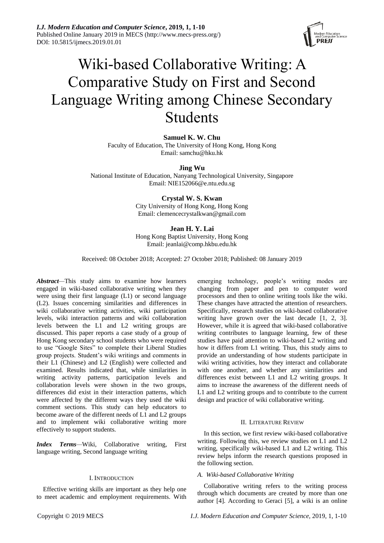*I.J. Modern Education and Computer Science***, 2019, 1, 1-10** Published Online January 2019 in MECS (http://www.mecs-press.org/) DOI: 10.5815/ijmecs.2019.01.01



# Wiki-based Collaborative Writing: A Comparative Study on First and Second Language Writing among Chinese Secondary Students

**Samuel K. W. Chu** Faculty of Education, The University of Hong Kong, Hong Kong Email: samchu@hku.hk

**Jing Wu**

National Institute of Education, Nanyang Technological University, Singapore Email: NIE152066@e.ntu.edu.sg

## **Crystal W. S. Kwan**

City University of Hong Kong, Hong Kong Email: clemencecrystalkwan@gmail.com

## **Jean H. Y. Lai**

Hong Kong Baptist University, Hong Kong Email: jeanlai@comp.hkbu.edu.hk

Received: 08 October 2018; Accepted: 27 October 2018; Published: 08 January 2019

*Abstract—*This study aims to examine how learners engaged in wiki-based collaborative writing when they were using their first language (L1) or second language (L2). Issues concerning similarities and differences in wiki collaborative writing activities, wiki participation levels, wiki interaction patterns and wiki collaboration levels between the L1 and L2 writing groups are discussed. This paper reports a case study of a group of Hong Kong secondary school students who were required to use "Google Sites" to complete their Liberal Studies group projects. Student's wiki writings and comments in their L1 (Chinese) and L2 (English) were collected and examined. Results indicated that, while similarities in writing activity patterns, participation levels and collaboration levels were shown in the two groups, differences did exist in their interaction patterns, which were affected by the different ways they used the wiki comment sections. This study can help educators to become aware of the different needs of L1 and L2 groups and to implement wiki collaborative writing more effectively to support students.

*Index Terms—*Wiki, Collaborative writing, First language writing, Second language writing

#### I. INTRODUCTION

Effective writing skills are important as they help one to meet academic and employment requirements. With emerging technology, people's writing modes are changing from paper and pen to computer word processors and then to online writing tools like the wiki. These changes have attracted the attention of researchers. Specifically, research studies on wiki-based collaborative writing have grown over the last decade [1, 2, 3]. However, while it is agreed that wiki-based collaborative writing contributes to language learning, few of these studies have paid attention to wiki-based L2 writing and how it differs from L1 writing. Thus, this study aims to provide an understanding of how students participate in wiki writing activities, how they interact and collaborate with one another, and whether any similarities and differences exist between L1 and L2 writing groups. It aims to increase the awareness of the different needs of L1 and L2 writing groups and to contribute to the current design and practice of wiki collaborative writing.

#### II. LITERATURE REVIEW

In this section, we first review wiki-based collaborative writing. Following this, we review studies on L1 and L2 writing, specifically wiki-based L1 and L2 writing. This review helps inform the research questions proposed in the following section.

#### *A. Wiki-based Collaborative Writing*

Collaborative writing refers to the writing process through which documents are created by more than one author [4]. According to Geraci [5], a wiki is an online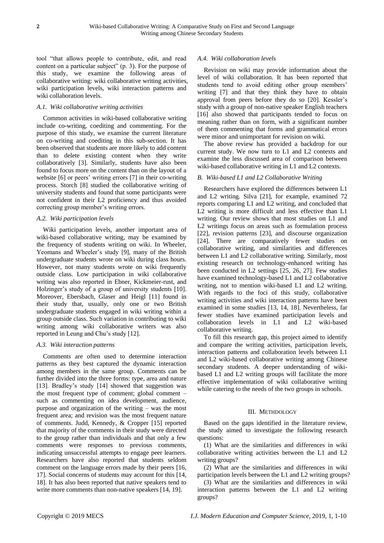tool "that allows people to contribute, edit, and read content on a particular subject" (p. 3). For the purpose of this study, we examine the following areas of collaborative writing: wiki collaborative writing activities, wiki participation levels, wiki interaction patterns and wiki collaboration levels.

# *A.1. Wiki collaborative writing activities*

Common activities in wiki-based collaborative writing include co-writing, coediting and commenting. For the purpose of this study, we examine the current literature on co-writing and coediting in this sub-section. It has been observed that students are more likely to add content than to delete existing content when they write collaboratively [3]. Similarly, students have also been found to focus more on the content than on the layout of a website [6] or peers' writing errors [7] in their co-writing process. Storch [8] studied the collaborative writing of university students and found that some participants were not confident in their L2 proficiency and thus avoided correcting group member's writing errors.

## *A.2. Wiki participation levels*

Wiki participation levels, another important area of wiki-based collaborative writing, may be examined by the frequency of students writing on wiki. In Wheeler, Yeomans and Wheeler's study [9], many of the British undergraduate students wrote on wiki during class hours. However, not many students wrote on wiki frequently outside class. Low participation in wiki collaborative writing was also reported in Ebner, Kickmeier-rust, and Holzinger's study of a group of university students [10]. Moreover, Ebersbach, Glaser and Heigl [11] found in their study that, usually, only one or two British undergraduate students engaged in wiki writing within a group outside class. Such variation in contributing to wiki writing among wiki collaborative writers was also reported in Leung and Chu's study [12].

## *A.3. Wiki interaction patterns*

Comments are often used to determine interaction patterns as they best captured the dynamic interaction among members in the same group. Comments can be further divided into the three forms: type, area and nature [13]. Bradley's study [14] showed that suggestion was the most frequent type of comment; global comment – such as commenting on idea development, audience, purpose and organization of the writing – was the most frequent area; and revision was the most frequent nature of comments. Judd, Kennedy, & Cropper [15] reported that majority of the comments in their study were directed to the group rather than individuals and that only a few comments were responses to previous comments, indicating unsuccessful attempts to engage peer learners. Researchers have also reported that students seldom comment on the language errors made by their peers [16, 17]. Social concerns of students may account for this [14, 18]. It has also been reported that native speakers tend to write more comments than non-native speakers [14, 19].

#### *A.4. Wiki collaboration levels*

Revision on wiki may provide information about the level of wiki collaboration. It has been reported that students tend to avoid editing other group members' writing [7] and that they think they have to obtain approval from peers before they do so [20]. Kessler's study with a group of non-native speaker English teachers [16] also showed that participants tended to focus on meaning rather than on form, with a significant number of them commenting that forms and grammatical errors were minor and unimportant for revision on wiki.

The above review has provided a backdrop for our current study. We now turn to L1 and L2 contexts and examine the less discussed area of comparison between wiki-based collaborative writing in L1 and L2 contexts.

## *B. Wiki-based L1 and L2 Collaborative Writing*

Researchers have explored the differences between L1 and L2 writing. Silva [21], for example, examined 72 reports comparing L1 and L2 writing, and concluded that L2 writing is more difficult and less effective than L1 writing. Our review shows that most studies on L1 and L2 writings focus on areas such as formulation process [22], revision patterns [23], and discourse organization [24]. There are comparatively fewer studies on collaborative writing, and similarities and differences between L1 and L2 collaborative writing. Similarly, most existing research on technology-enhanced writing has been conducted in L2 settings [25, 26, 27]. Few studies have examined technology-based L1 and L2 collaborative writing, not to mention wiki-based L1 and L2 writing. With regards to the foci of this study, collaborative writing activities and wiki interaction patterns have been examined in some studies [13, 14, 18]. Nevertheless, far fewer studies have examined participation levels and collaboration levels in L1 and L2 wiki-based collaborative writing.

To fill this research gap, this project aimed to identify and compare the writing activities, participation levels, interaction patterns and collaboration levels between L1 and L2 wiki-based collaborative writing among Chinese secondary students. A deeper understanding of wikibased L1 and L2 writing groups will facilitate the more effective implementation of wiki collaborative writing while catering to the needs of the two groups in schools.

## III. METHDOLOGY

Based on the gaps identified in the literature review, the study aimed to investigate the following research questions:

(1) What are the similarities and differences in wiki collaborative writing activities between the L1 and L2 writing groups?

(2) What are the similarities and differences in wiki participation levels between the L1 and L2 writing groups?

(3) What are the similarities and differences in wiki interaction patterns between the L1 and L2 writing groups?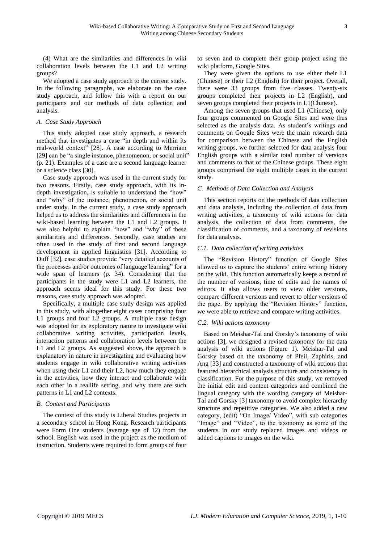(4) What are the similarities and differences in wiki collaboration levels between the L1 and L2 writing groups?

We adopted a case study approach to the current study. In the following paragraphs, we elaborate on the case study approach, and follow this with a report on our participants and our methods of data collection and analysis.

# *A. Case Study Approach*

This study adopted case study approach, a research method that investigates a case "in depth and within its real-world context" [28]. A case according to Merriam [29] can be "a single instance, phenomenon, or social unit" (p. 21). Examples of a case are a second language learner or a science class [30].

Case study approach was used in the current study for two reasons. Firstly, case study approach, with its indepth investigation, is suitable to understand the "how" and "why" of the instance, phenomenon, or social unit under study. In the current study, a case study approach helped us to address the similarities and differences in the wiki-based learning between the L1 and L2 groups. It was also helpful to explain "how" and "why" of these similarities and differences. Secondly, case studies are often used in the study of first and second language development in applied linguistics [31]. According to Duff [32], case studies provide "very detailed accounts of the processes and/or outcomes of language learning" for a wide span of learners (p. 34). Considering that the participants in the study were L1 and L2 learners, the approach seems ideal for this study. For these two reasons, case study approach was adopted.

Specifically, a multiple case study design was applied in this study, with altogether eight cases comprising four L1 groups and four L2 groups. A multiple case design was adopted for its exploratory nature to investigate wiki collaborative writing activities, participation levels, interaction patterns and collaboration levels between the L1 and L2 groups. As suggested above, the approach is explanatory in nature in investigating and evaluating how students engage in wiki collaborative writing activities when using their L1 and their L2, how much they engage in the activities, how they interact and collaborate with each other in a reallife setting, and why there are such patterns in L1 and L2 contexts.

# *B. Context and Participants*

The context of this study is Liberal Studies projects in a secondary school in Hong Kong. Research participants were Form One students (average age of 12) from the school. English was used in the project as the medium of instruction. Students were required to form groups of four

to seven and to complete their group project using the wiki platform, Google Sites.

They were given the options to use either their L1 (Chinese) or their L2 (English) for their project. Overall, there were 33 groups from five classes. Twenty-six groups completed their projects in L2 (English), and seven groups completed their projects in L1(Chinese).

Among the seven groups that used L1 (Chinese), only four groups commented on Google Sites and were thus selected as the analysis data. As student's writings and comments on Google Sites were the main research data for comparison between the Chinese and the English writing groups, we further selected for data analysis four English groups with a similar total number of versions and comments to that of the Chinese groups. These eight groups comprised the eight multiple cases in the current study.

# *C. Methods of Data Collection and Analysis*

This section reports on the methods of data collection and data analysis, including the collection of data from writing activities, a taxonomy of wiki actions for data analysis, the collection of data from comments, the classification of comments, and a taxonomy of revisions for data analysis.

# *C.1. Data collection of writing activities*

The "Revision History" function of Google Sites allowed us to capture the students' entire writing history on the wiki. This function automatically keeps a record of the number of versions, time of edits and the names of editors. It also allows users to view older versions, compare different versions and revert to older versions of the page. By applying the "Revision History" function, we were able to retrieve and compare writing activities.

## *C.2. Wiki actions taxonomy*

Based on Meishar-Tal and Gorsky's taxonomy of wiki actions [3], we designed a revised taxonomy for the data analysis of wiki actions (Figure 1). Meishar-Tal and Gorsky based on the taxonomy of Pfeil, Zaphiris, and Ang [33] and constructed a taxonomy of wiki actions that featured hierarchical analysis structure and consistency in classification. For the purpose of this study, we removed the initial edit and content categories and combined the lingual category with the wording category of Meishar-Tal and Gorsky [3] taxonomy to avoid complex hierarchy structure and repetitive categories. We also added a new category, (edit) "On Image/ Video", with sub categories "Image" and "Video", to the taxonomy as some of the students in our study replaced images and videos or added captions to images on the wiki.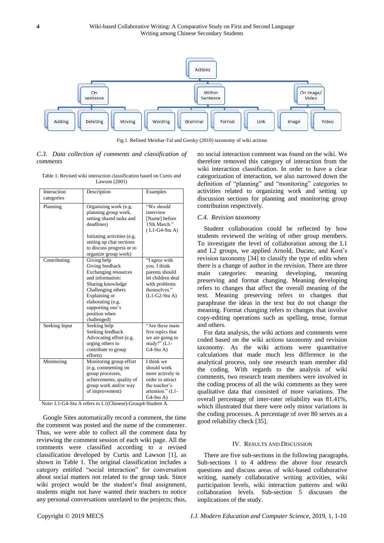

Fig.1*.* Refined Meishar-Tal and Gorsky (2010) taxonomy of wiki actions

## *C.3. Data collection of comments and classification of comments*

| Interaction<br>categories | Description                                                                                                                                                                                                     | Examples                                                                                                                 |
|---------------------------|-----------------------------------------------------------------------------------------------------------------------------------------------------------------------------------------------------------------|--------------------------------------------------------------------------------------------------------------------------|
| Planning                  | Organizing work (e.g.<br>planning group work,<br>setting shared tasks and<br>deadlines)                                                                                                                         | "We should<br>interview<br>[Name] before<br>15th March."<br>$(L1-G4-Stu A)$                                              |
|                           | Initiating activities (e.g.<br>setting up chat sections<br>to discuss progress or to<br>organize group work)                                                                                                    |                                                                                                                          |
| Contributing              | Giving help<br>Giving feedback<br>Exchanging resources<br>and information:<br>Sharing knowledge<br>Challenging others<br>Explaining or<br>elaborating (e.g.<br>supporting one's<br>position when<br>challenged) | "I agree with<br>you. I think<br>parents should<br>let children deal<br>with problems<br>themselves."<br>$(L1-G2-Stu A)$ |
| Seeking Input             | Seeking help<br>Seeking feedback<br>Advocating effort (e.g.<br>urging others to<br>contribute to group<br>efforts)                                                                                              | "Are these main<br>five topics that<br>we are going to<br>study?" $(L1 -$<br>G4-Stu A)                                   |
| Monitoring                | Monitoring group effort<br>(e.g. commenting on<br>group processes,<br>achievements, quality of<br>group work and/or way<br>of improvement)                                                                      | I think we<br>should work<br>more actively in<br>order to attract<br>the teacher's<br>attention." (L1-<br>$G4-Stu A$     |

Table 1. Revised wiki interaction classification based on Curtis and Lawson (2001)

Note: L1-G4-Stu A refers to L1(Chinese)-Group4-Student A.

Google Sites automatically record a comment, the time the comment was posted and the name of the commenter. Thus, we were able to collect all the comment data by reviewing the comment session of each wiki page. All the comments were classified according to a revised classification developed by Curtis and Lawson [1], as shown in Table 1. The original classification includes a category entitled "social interaction" for conversation about social matters not related to the group task. Since wiki project would be the student's final assignment, students might not have wanted their teachers to notice any personal conversations unrelated to the projects; thus, no social interaction comment was found on the wiki. We therefore removed this category of interaction from the wiki interaction classification. In order to have a clear categorization of interaction, we also narrowed down the definition of "planning" and "monitoring" categories to activities related to organizing work and setting up discussion sections for planning and monitoring group contribution respectively.

## *C.4. Revision taxonomy*

Student collaboration could be reflected by how students reviewed the writing of other group members. To investigate the level of collaboration among the L1 and L2 groups, we applied Arnold, Ducate, and Kost's revision taxonomy [34] to classify the type of edits when there is a change of author in the revision. There are three main categories: meaning developing, meaning preserving and format changing. Meaning developing refers to changes that affect the overall meaning of the text. Meaning preserving refers to changes that paraphrase the ideas in the text but do not change the meaning. Format changing refers to changes that involve copy-editing operations such as spelling, tense, format and others.

For data analysis, the wiki actions and comments were coded based on the wiki actions taxonomy and revision taxonomy. As the wiki actions were quantitative calculations that made much less difference in the analytical process, only one research team member did the coding. With regards to the analysis of wiki comments, two research team members were involved in the coding process of all the wiki comments as they were qualitative data that consisted of more variations. The overall percentage of inter-rater reliability was 81.41%, which illustrated that there were only minor variations in the coding processes. A percentage of over 80 serves as a good reliability check [35].

#### IV. RESULTS AND DISCUSSION

There are five sub-sections in the following paragraphs. Sub-sections 1 to 4 address the above four research questions and discuss areas of wiki-based collaborative writing, namely collaborative writing activities, wiki participation levels, wiki interaction patterns and wiki collaboration levels. Sub-section 5 discusses the implications of the study.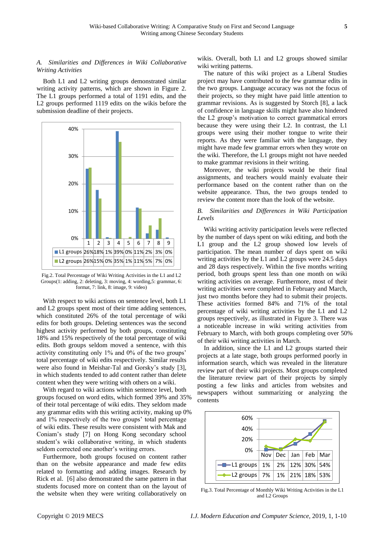# *A. Similarities and Differences in Wiki Collaborative Writing Activities*

Both L1 and L2 writing groups demonstrated similar writing activity patterns, which are shown in Figure 2. The L1 groups performed a total of 1191 edits, and the L<sub>2</sub> groups performed 1119 edits on the wikis before the submission deadline of their projects.



Fig.2. Total Percentage of Wiki Writing Activities in the L1 and L2 Groups(1: adding, 2: deleting, 3: moving, 4: wording,5: grammar, 6: format, 7: link, 8: image, 9: video)

With respect to wiki actions on sentence level, both L1 and L2 groups spent most of their time adding sentences, which constituted 26% of the total percentage of wiki edits for both groups. Deleting sentences was the second highest activity performed by both groups, constituting 18% and 15% respectively of the total percentage of wiki edits. Both groups seldom moved a sentence, with this activity constituting only 1% and 0% of the two groups' total percentage of wiki edits respectively. Similar results were also found in Meishar-Tal and Gorsky's study [3], in which students tended to add content rather than delete content when they were writing with others on a wiki.

With regard to wiki actions within sentence level, both groups focused on word edits, which formed 39% and 35% of their total percentage of wiki edits. They seldom made any grammar edits with this writing activity, making up 0% and 1% respectively of the two groups' total percentage of wiki edits. These results were consistent with Mak and Coniam's study [7] on Hong Kong secondary school student's wiki collaborative writing, in which students seldom corrected one another's writing errors.

Furthermore, both groups focused on content rather than on the website appearance and made few edits related to formatting and adding images. Research by Rick et al. [6] also demonstrated the same pattern in that students focused more on content than on the layout of the website when they were writing collaboratively on wikis. Overall, both L1 and L2 groups showed similar wiki writing patterns.

The nature of this wiki project as a Liberal Studies project may have contributed to the few grammar edits in the two groups. Language accuracy was not the focus of their projects, so they might have paid little attention to grammar revisions. As is suggested by Storch [8], a lack of confidence in language skills might have also hindered the L2 group's motivation to correct grammatical errors because they were using their L2. In contrast, the L1 groups were using their mother tongue to write their reports. As they were familiar with the language, they might have made few grammar errors when they wrote on the wiki. Therefore, the L1 groups might not have needed to make grammar revisions in their writing.

Moreover, the wiki projects would be their final assignments, and teachers would mainly evaluate their performance based on the content rather than on the website appearance. Thus, the two groups tended to review the content more than the look of the website.

# *B. Similarities and Differences in Wiki Participation Levels*

Wiki writing activity participation levels were reflected by the number of days spent on wiki editing, and both the L1 group and the L2 group showed low levels of participation. The mean number of days spent on wiki writing activities by the L1 and L2 groups were 24.5 days and 28 days respectively. Within the five months writing period, both groups spent less than one month on wiki writing activities on average. Furthermore, most of their writing activities were completed in February and March, just two months before they had to submit their projects. These activities formed 84% and 71% of the total percentage of wiki writing activities by the L1 and L2 groups respectively, as illustrated in Figure 3. There was a noticeable increase in wiki writing activities from February to March, with both groups completing over 50% of their wiki writing activities in March.

In addition, since the L1 and L2 groups started their projects at a late stage, both groups performed poorly in information search, which was revealed in the literature review part of their wiki projects. Most groups completed the literature review part of their projects by simply posting a few links and articles from websites and newspapers without summarizing or analyzing the contents



Fig.3. Total Percentage of Monthly Wiki Writing Activities in the L1 and L2 Groups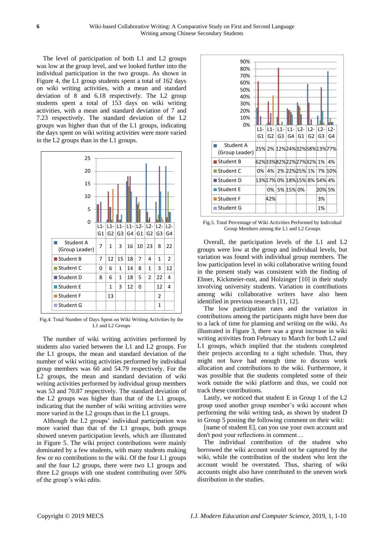The level of participation of both L1 and L2 groups was low at the group level, and we looked further into the individual participation in the two groups. As shown in Figure 4, the L1 group students spent a total of 162 days on wiki writing activities, with a mean and standard deviation of 8 and 6.18 respectively. The L2 group students spent a total of 153 days on wiki writing activities, with a mean and standard deviation of 7 and 7.23 respectively. The standard deviation of the L2 groups was higher than that of the L1 groups, indicating the days spent on wiki writing activities were more varied in the L2 groups than in the L1 groups.



Fig.4. Total Number of Days Spent on Wiki Writing Activities by the L1 and L2 Groups

The number of wiki writing activities performed by students also varied between the L1 and L2 groups. For the L1 groups, the mean and standard deviation of the number of wiki writing activities performed by individual group members was 60 and 54.79 respectively. For the L2 groups, the mean and standard deviation of wiki writing activities performed by individual group members was 53 and 70.87 respectively. The standard deviation of the L2 groups was higher than that of the L1 groups, indicating that the number of wiki writing activities were more varied in the L2 groups than in the L1 groups.

Although the L2 groups' individual participation was more varied than that of the L1 groups, both groups showed uneven participation levels, which are illustrated in Figure 5. The wiki project contributions were mainly dominated by a few students, with many students making few or no contributions to the wiki. Of the four L1 groups and the four L2 groups, there were two L1 groups and three L2 groups with one student contributing over 50% of the group's wiki edits.



Fig.5. Total Percentage of Wiki Activities Performed by Individual Group Members among the L1 and L2 Groups

Overall, the participation levels of the L1 and L2 groups were low at the group and individual levels, but variation was found with individual group members. The low participation level in wiki collaborative writing found in the present study was consistent with the finding of Ebner, Kickmeier-rust, and Holzinger [10] in their study involving university students. Variation in contributions among wiki collaborative writers have also been identified in previous research [11, 12].

The low participation rates and the variation in contributions among the participants might have been due to a lack of time for planning and writing on the wiki. As illustrated in Figure 3, there was a great increase in wiki writing activities from February to March for both L2 and L1 groups, which implied that the students completed their projects according to a tight schedule. Thus, they might not have had enough time to discuss work allocation and contributions to the wiki. Furthermore, it was possible that the students completed some of their work outside the wiki platform and thus, we could not track these contributions.

Lastly, we noticed that student E in Group 1 of the L2 group used another group member's wiki account when performing the wiki writing task, as shown by student D in Group 5 posting the following comment on their wiki:

[name of student E], can you use your own account and don't post your reflections in comment…

The individual contribution of the student who borrowed the wiki account would not be captured by the wiki, while the contribution of the student who lent the account would be overstated. Thus, sharing of wiki accounts might also have contributed to the uneven work distribution in the studies.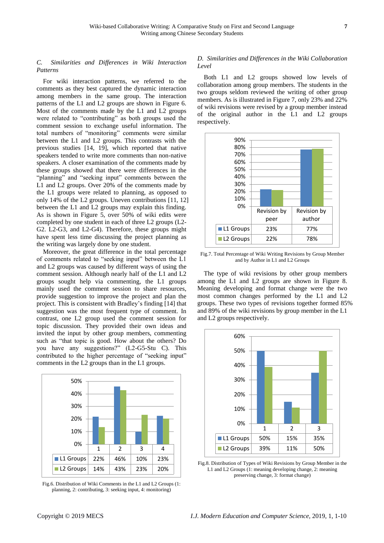# *C. Similarities and Differences in Wiki Interaction Patterns*

For wiki interaction patterns, we referred to the comments as they best captured the dynamic interaction among members in the same group. The interaction patterns of the L1 and L2 groups are shown in Figure 6. Most of the comments made by the L1 and L2 groups were related to "contributing" as both groups used the comment session to exchange useful information. The total numbers of "monitoring" comments were similar between the L1 and L2 groups. This contrasts with the previous studies [14, 19], which reported that native speakers tended to write more comments than non-native speakers. A closer examination of the comments made by these groups showed that there were differences in the "planning" and "seeking input" comments between the L1 and L2 groups. Over 20% of the comments made by the L1 groups were related to planning, as opposed to only 14% of the L2 groups. Uneven contributions [11, 12] between the L1 and L2 groups may explain this finding. As is shown in Figure 5, over 50% of wiki edits were completed by one student in each of three L2 groups (L2- G2. L2-G3, and L2-G4). Therefore, these groups might have spent less time discussing the project planning as the writing was largely done by one student.

Moreover, the great difference in the total percentage of comments related to "seeking input" between the L1 and L2 groups was caused by different ways of using the comment session. Although nearly half of the L1 and L2 groups sought help via commenting, the L1 groups mainly used the comment session to share resources, provide suggestion to improve the project and plan the project. This is consistent with Bradley's finding [14] that suggestion was the most frequent type of comment. In contrast, one L2 group used the comment session for topic discussion. They provided their own ideas and invited the input by other group members, commenting such as "that topic is good. How about the others? Do you have any suggestions?" (L2-G5-Stu C). This contributed to the higher percentage of "seeking input" comments in the L2 groups than in the L1 groups.



Fig.6. Distribution of Wiki Comments in the L1 and L2 Groups (1: planning, 2: contributing, 3: seeking input, 4: monitoring)

# *D. Similarities and Differences in the Wiki Collaboration Level*

Both L1 and L2 groups showed low levels of collaboration among group members. The students in the two groups seldom reviewed the writing of other group members. As is illustrated in Figure 7, only 23% and 22% of wiki revisions were revised by a group member instead of the original author in the L1 and L2 groups respectively.



Fig.7. Total Percentage of Wiki Writing Revisions by Group Member and by Author in L1 and L2 Groups

The type of wiki revisions by other group members among the L1 and L2 groups are shown in Figure 8. Meaning developing and format change were the two most common changes performed by the L1 and L2 groups. These two types of revisions together formed 85% and 89% of the wiki revisions by group member in the L1 and L2 groups respectively.



Fig.8. Distribution of Types of Wiki Revisions by Group Member in the L1 and L2 Groups (1: meaning developing change, 2: meaning preserving change, 3: format change)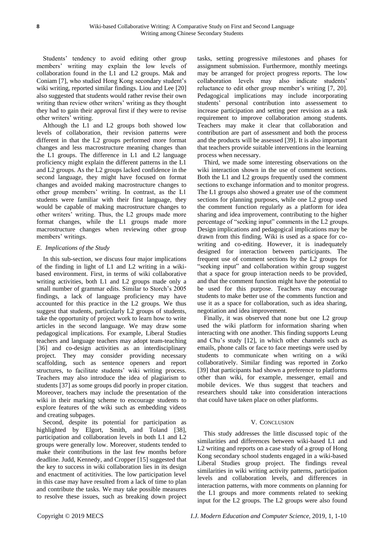Students' tendency to avoid editing other group members' writing may explain the low levels of collaboration found in the L1 and L2 groups. Mak and Coniam [7], who studied Hong Kong secondary student's wiki writing, reported similar findings. Liou and Lee [20] also suggested that students would rather revise their own writing than review other writers' writing as they thought they had to gain their approval first if they were to revise other writers' writing.

Although the L1 and L2 groups both showed low levels of collaboration, their revision patterns were different in that the L2 groups performed more format changes and less macrostructure meaning changes than the L1 groups. The difference in L1 and L2 language proficiency might explain the different patterns in the L1 and L2 groups. As the L2 groups lacked confidence in the second language, they might have focused on format changes and avoided making macrostructure changes to other group members' writing. In contrast, as the L1 students were familiar with their first language, they would be capable of making macrostructure changes to other writers' writing. Thus, the L2 groups made more format changes, while the L1 groups made more macrostructure changes when reviewing other group members' writings.

# *E. Implications of the Study*

In this sub-section, we discuss four major implications of the finding in light of L1 and L2 writing in a wikibased environment. First, in terms of wiki collaborative writing activities, both L1 and L2 groups made only a small number of grammar edits. Similar to Storch's 2005 findings, a lack of language proficiency may have accounted for this practice in the L2 groups. We thus suggest that students, particularly L2 groups of students, take the opportunity of project work to learn how to write articles in the second language. We may draw some pedagogical implications. For example, Liberal Studies teachers and language teachers may adopt team-teaching [36] and co-design activities as an interdisciplinary project. They may consider providing necessary scaffolding, such as sentence openers and report structures, to facilitate students' wiki writing process. Teachers may also introduce the idea of plagiarism to students [37] as some groups did poorly in proper citation. Moreover, teachers may include the presentation of the wiki in their marking scheme to encourage students to explore features of the wiki such as embedding videos and creating subpages.

Second, despite its potential for participation as highlighted by Elgort, Smith, and Toland [38], participation and collaboration levels in both L1 and L2 groups were generally low. Moreover, students tended to make their contributions in the last few months before deadline. Judd, Kennedy, and Cropper [15] suggested that the key to success in wiki collaboration lies in its design and enactment of actitivities. The low participation level in this case may have resulted from a lack of time to plan and contribute the tasks. We may take possible measures to resolve these issues, such as breaking down project

tasks, setting progressive milestones and phases for assignment submission. Furthermore, monthly meetings may be arranged for project progress reports. The low collaboration levels may also indicate students' reluctance to edit other group member's writing [7, 20]. Pedagogical implications may include incorporating students' personal contribution into assessement to increase participation and setting peer revision as a task requirement to improve collaboration among students. Teachers may make it clear that collaboration and contribution are part of assessment and both the process and the products will be assessed [39]. It is also important that teachers provide suitable interventions in the learning process when necessary.

Third, we made some interesting observations on the wiki interaction shown in the use of comment sections. Both the L1 and L2 groups frequently used the comment sections to exchange information and to monitor progress. The L1 groups also showed a greater use of the comment sections for planning purposes, while one L2 group used the comment function regularly as a platform for idea sharing and idea improvement, contributing to the higher percentage of "seeking input" comments in the L2 groups. Design implications and pedagogical implications may be drawn from this finding. Wiki is used as a space for cowriting and co-editing. However, it is inadequately designed for interaction between participants. The frequent use of comment sections by the L2 groups for "seeking input" and collaboration within group suggest that a space for group interaction needs to be provided, and that the comment function might have the potential to be used for this purpose. Teachers may encourage students to make better use of the comments function and use it as a space for collaboration, such as idea sharing, negotiation and idea improvement.

Finally, it was observed that none but one L2 group used the wiki platform for information sharing when interacting with one another. This finding supports Leung and Chu's study [12], in which other channels such as emails, phone calls or face to face meetings were used by students to communicate when writing on a wiki collaboratively. Similar finding was reported in Zorko [39] that participants had shown a preference to platforms other than wiki, for example, messenger, email and mobile devices. We thus suggest that teachers and researchers should take into consideration interactions that could have taken place on other platforms.

## V. CONCLUSION

This study addresses the little discussed topic of the similarities and differences between wiki-based L1 and L2 writing and reports on a case study of a group of Hong Kong secondary school students engaged in a wiki-based Liberal Studies group project. The findings reveal similarities in wiki writing activity patterns, participation levels and collaboration levels, and differences in interaction patterns, with more comments on planning for the L1 groups and more comments related to seeking input for the L2 groups. The L2 groups were also found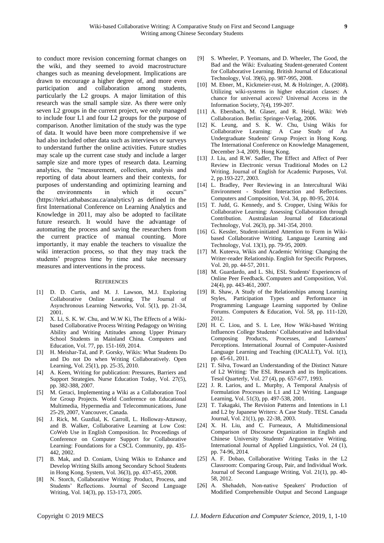to conduct more revision concerning format changes on the wiki, and they seemed to avoid macrostructure changes such as meaning development. Implications are drawn to encourage a higher degree of, and more even participation and collaboration among students, particularly the L2 groups. A major limitation of this research was the small sample size. As there were only seven L2 groups in the current project, we only managed to include four L1 and four L2 groups for the purpose of comparison. Another limitation of the study was the type of data. It would have been more comprehensive if we had also included other data such as interviews or surveys to understand further the online activities. Future studies may scale up the current case study and include a larger sample size and more types of research data. Learning analytics, the "measurement, collection, analysis and reporting of data about learners and their contexts, for purposes of understanding and optimizing learning and the environments in which it occurs" (https://tekri.athabascau.ca/analytics/) as defined in the first International Conference on Learning Analytics and Knowledge in 2011, may also be adopted to facilitate future research. It would have the advantage of automating the process and saving the researchers from the current practice of manual counting. More importantly, it may enable the teachers to visualize the wiki interaction process, so that they may track the students' progress time by time and take necessary measures and interventions in the process.

#### **REFERENCES**

- [1] D. D. Curtis, and M. J. Lawson, M.J. Exploring Collaborative Online Learning. The Journal of Asynchronous Learning Networks, Vol. 5(1), pp. 21-34, 2001.
- [2] X. Li, S. K. W. Chu, and W.W Ki, The Effects of a Wikibased Collaborative Process Writing Pedagogy on Writing Ability and Writing Attitudes among Upper Primary School Students in Mainland China. Computers and Education, Vol. 77, pp. 151-169, 2014.
- [3] H. Meishar-Tal, and P. Gorsky, Wikis: What Students Do and Do not Do when Writing Collaboratively. Open Learning, Vol. 25(1), pp. 25-35, 2010.
- [4] A. Keen, Writing for publication: Pressures, Barriers and Support Strategies. Nurse Education Today, Vol. 27(5), pp. 382-388, 2007.
- [5] M. Geraci, Implementing a Wiki as a Collaboration Tool for Group Projects. World Conference on Educational Multimedia, Hypermedia and Telecommunications, June 25-29, 2007, Vancouver, Canada.
- [6] J. Rick, M. Guzdial, K. Carroll, L. Holloway-Attaway, and B. Walker, Collaborative Learning at Low Cost: CoWeb Use in English Composition. In: Proceedings of Conference on Computer Support for Collaborative Learning: Foundations for a CSCL Community, pp. 435- 442, 2002.
- [7] B. Mak, and D. Coniam, Using Wikis to Enhance and Develop Writing Skills among Secondary School Students in Hong Kong. System, Vol. 36(3), pp. 437-455, 2008.
- [8] N. Storch, Collaborative Writing: Product, Process, and Students' Reflections. Journal of Second Language Writing, Vol. 14(3), pp. 153-173, 2005.
- [9] S. Wheeler, P. Yeomans, and D. Wheeler, The Good, the Bad and the Wiki: Evaluating Student-generated Content for Collaborative Learning. British Journal of Educational Technology, Vol. 39(6), pp. 987-995, 2008.
- [10] M. Ebner, M., Kickmeier-rust, M. & Holzinger, A. (2008). Utilizing wiki-systems in higher education classes: A chance for universal access? Universal Access in the Information Society, 7(4), 199-207.
- [11] A. Ebersbach, M. Glaser, and R. Heigl, Wiki: Web Collaboration. Berlin: Springer-Verlag, 2006.
- [12] K. Leung, and S. K. W. Chu, Using Wikis for Collaborative Learning: A Case Study of An Undergraduate Students' Group Project in Hong Kong. The International Conference on Knowledge Management, December 3-4, 2009, Hong Kong.
- [13] J. Liu, and R.W. Sadler, The Effect and Affect of Peer Review in Electronic versus Traditional Modes on L2 Writing. Journal of English for Academic Purposes, Vol. 2, pp.193-227, 2003.
- [14] L. Bradley, Peer Reviewing in an Intercultural Wiki Environment - Student Interaction and Reflections. Computers and Composition, Vol. 34, pp. 80-95, 2014.
- [15] T. Judd, G. Kennedy, and S. Cropper, Using Wikis for Collaborative Learning: Assessing Collaboration through Contribution. Australasian Journal of Educational Technology, Vol. 26(3), pp. 341-354, 2010.
- [16] G. Kessler, Student-initiated Attention to Form in Wikibased Collaborative Writing. Language Learning and Technology, Vol. 13(1), pp. 79-95, 2009.
- [17] M. Kuteeva, Wikis and Academic Writing: Changing the Writer-reader Relationship. English for Specific Purposes, Vol. 20, pp. 44-57, 2011.
- [18] M. Guardardo, and L. Shi, ESL Students' Experiences of Online Peer Feedback. Computers and Composition, Vol. 24(4), pp. 443-461, 2007.
- [19] R. Shaw, A Study of the Relationships among Learning Styles, Participation Types and Performance in Programming Language Learning supported by Online Forums. Computers & Education, Vol. 58, pp. 111-120, 2012.
- [20] H. C. Liou, and S. L Lee, How Wiki-based Writing Influences College Students' Collaborative and Individual Composing Products, Processes, and Learners' Perceptions. International Journal of Computer-Assisted Language Learning and Teaching (IJCALLT), Vol. 1(1), pp. 45-61, 2011.
- [21] T. Silva, Toward an Understanding of the Distinct Nature of L2 Writing: The ESL Research and its Implications. Tesol Quarterly, Vol. 27 (4), pp. 657-677, 1993.
- [22] J. R. Larios, and L. Murphy, A Temporal Analysis of Formulation Processes in L1 and L2 Writing. Language Learning, Vol. 51(3), pp. 497-538, 2001.
- [23] T. Takagaki, The Revision Patterns and Intentions in L1 and L2 by Japanese Writers: A Case Study. TESL Canada Journal, Vol. 21(1), pp. 22-38, 2003.
- [24] X. H. Liu, and C. Furneaux, A Multidimensional Comparison of Discourse Organization in English and Chinese University Students' Argumentative Writing. International Journal of Applied Linguistics, Vol. 24 (1), pp. 74-96, 2014.
- [25] A. F. Dobao, Collaborative Writing Tasks in the L2 Classroom: Comparing Group, Pair, and Individual Work. Journal of Second Language Writing, Vol. 21(1), pp. 40- 58, 2012.
- [26] A. Shehadeh, Non-native Speakers' Production of Modified Comprehensible Output and Second Language